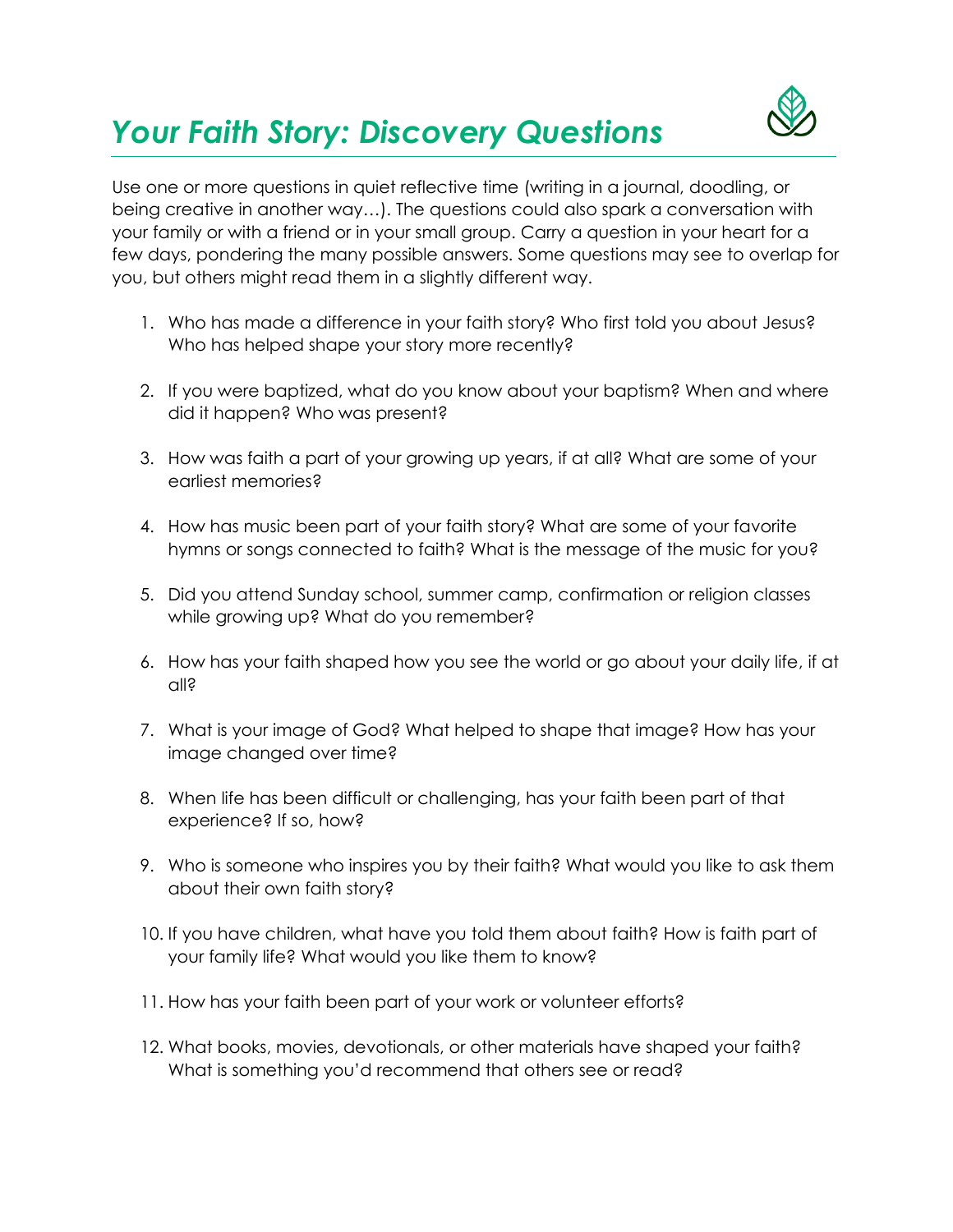## *Your Faith Story: Discovery Questions*



Use one or more questions in quiet reflective time (writing in a journal, doodling, or being creative in another way…). The questions could also spark a conversation with your family or with a friend or in your small group. Carry a question in your heart for a few days, pondering the many possible answers. Some questions may see to overlap for you, but others might read them in a slightly different way.

- 1. Who has made a difference in your faith story? Who first told you about Jesus? Who has helped shape your story more recently?
- 2. If you were baptized, what do you know about your baptism? When and where did it happen? Who was present?
- 3. How was faith a part of your growing up years, if at all? What are some of your earliest memories?
- 4. How has music been part of your faith story? What are some of your favorite hymns or songs connected to faith? What is the message of the music for you?
- 5. Did you attend Sunday school, summer camp, confirmation or religion classes while growing up? What do you remember?
- 6. How has your faith shaped how you see the world or go about your daily life, if at all?
- 7. What is your image of God? What helped to shape that image? How has your image changed over time?
- 8. When life has been difficult or challenging, has your faith been part of that experience? If so, how?
- 9. Who is someone who inspires you by their faith? What would you like to ask them about their own faith story?
- 10. If you have children, what have you told them about faith? How is faith part of your family life? What would you like them to know?
- 11. How has your faith been part of your work or volunteer efforts?
- 12. What books, movies, devotionals, or other materials have shaped your faith? What is something you'd recommend that others see or read?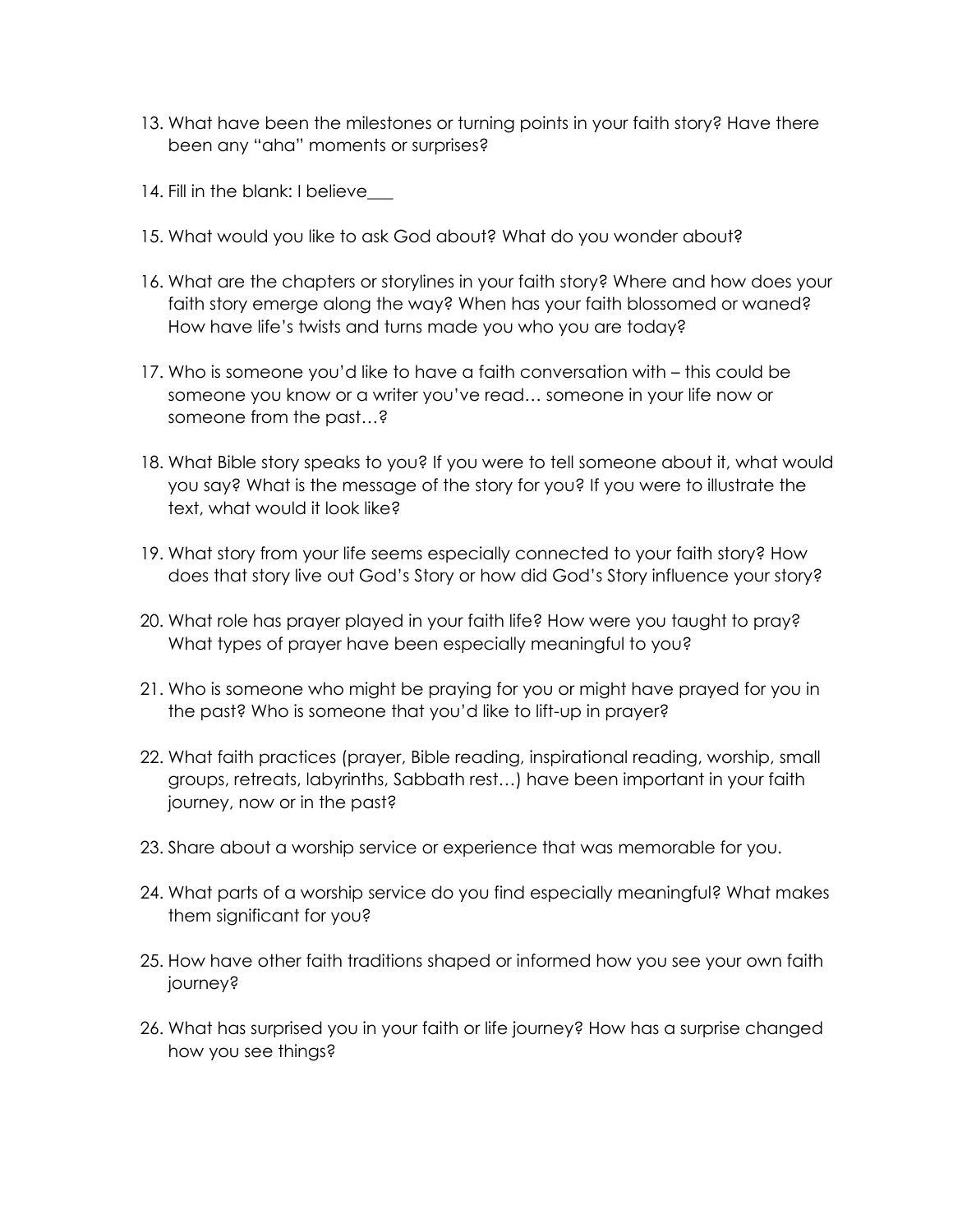- 13. What have been the milestones or turning points in your faith story? Have there been any "aha" moments or surprises?
- 14. Fill in the blank: I believe
- 15. What would you like to ask God about? What do you wonder about?
- 16. What are the chapters or storylines in your faith story? Where and how does your faith story emerge along the way? When has your faith blossomed or waned? How have life's twists and turns made you who you are today?
- 17. Who is someone you'd like to have a faith conversation with this could be someone you know or a writer you've read… someone in your life now or someone from the past…?
- 18. What Bible story speaks to you? If you were to tell someone about it, what would you say? What is the message of the story for you? If you were to illustrate the text, what would it look like?
- 19. What story from your life seems especially connected to your faith story? How does that story live out God's Story or how did God's Story influence your story?
- 20. What role has prayer played in your faith life? How were you taught to pray? What types of prayer have been especially meaningful to you?
- 21. Who is someone who might be praying for you or might have prayed for you in the past? Who is someone that you'd like to lift-up in prayer?
- 22. What faith practices (prayer, Bible reading, inspirational reading, worship, small groups, retreats, labyrinths, Sabbath rest…) have been important in your faith journey, now or in the past?
- 23. Share about a worship service or experience that was memorable for you.
- 24. What parts of a worship service do you find especially meaningful? What makes them significant for you?
- 25. How have other faith traditions shaped or informed how you see your own faith journey?
- 26. What has surprised you in your faith or life journey? How has a surprise changed how you see things?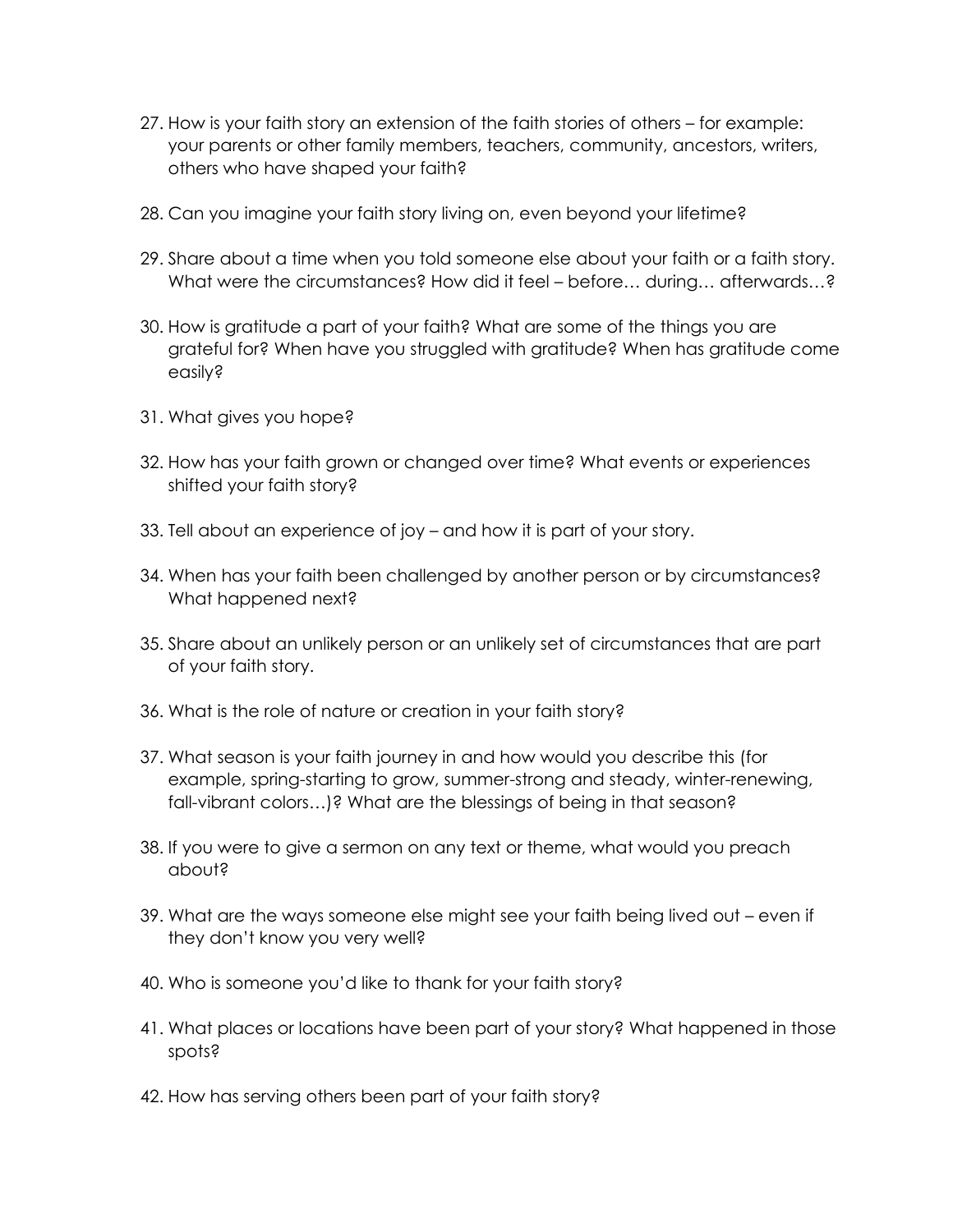- 27. How is your faith story an extension of the faith stories of others for example: your parents or other family members, teachers, community, ancestors, writers, others who have shaped your faith?
- 28. Can you imagine your faith story living on, even beyond your lifetime?
- 29. Share about a time when you told someone else about your faith or a faith story. What were the circumstances? How did it feel – before... during... afterwards...?
- 30. How is gratitude a part of your faith? What are some of the things you are grateful for? When have you struggled with gratitude? When has gratitude come easily?
- 31. What gives you hope?
- 32. How has your faith grown or changed over time? What events or experiences shifted your faith story?
- 33. Tell about an experience of joy and how it is part of your story.
- 34. When has your faith been challenged by another person or by circumstances? What happened next?
- 35. Share about an unlikely person or an unlikely set of circumstances that are part of your faith story.
- 36. What is the role of nature or creation in your faith story?
- 37. What season is your faith journey in and how would you describe this (for example, spring-starting to grow, summer-strong and steady, winter-renewing, fall-vibrant colors…)? What are the blessings of being in that season?
- 38. If you were to give a sermon on any text or theme, what would you preach about?
- 39. What are the ways someone else might see your faith being lived out even if they don't know you very well?
- 40. Who is someone you'd like to thank for your faith story?
- 41. What places or locations have been part of your story? What happened in those spots?
- 42. How has serving others been part of your faith story?